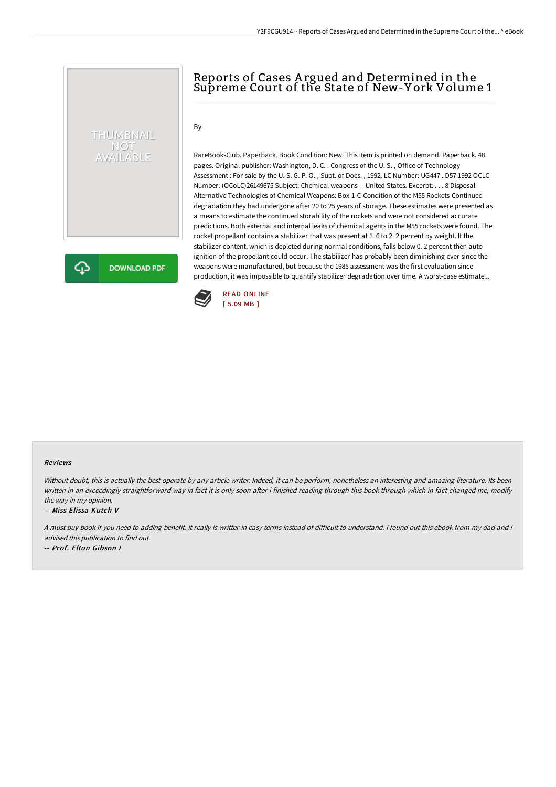# Reports of Cases A rgued and Determined in the Supreme Court of the State of New-Y ork Volume 1

### By -

THUMBNAIL NOT<br>AVAILABLE

**DOWNLOAD PDF** 

RareBooksClub. Paperback. Book Condition: New. This item is printed on demand. Paperback. 48 pages. Original publisher: Washington, D. C. : Congress of the U. S. , Office of Technology Assessment : For sale by the U. S. G. P. O. , Supt. of Docs. , 1992. LC Number: UG447 . D57 1992 OCLC Number: (OCoLC)26149675 Subject: Chemical weapons -- United States. Excerpt: . . . 8 Disposal Alternative Technologies of Chemical Weapons: Box 1-C-Condition of the M55 Rockets-Continued degradation they had undergone after 20 to 25 years of storage. These estimates were presented as a means to estimate the continued storability of the rockets and were not considered accurate predictions. Both external and internal leaks of chemical agents in the M55 rockets were found. The rocket propellant contains a stabilizer that was present at 1. 6 to 2. 2 percent by weight. If the stabilizer content, which is depleted during normal conditions, falls below 0. 2 percent then auto ignition of the propellant could occur. The stabilizer has probably been diminishing ever since the weapons were manufactured, but because the 1985 assessment was the first evaluation since production, it was impossible to quantify stabilizer degradation over time. A worst-case estimate...



#### Reviews

Without doubt, this is actually the best operate by any article writer. Indeed, it can be perform, nonetheless an interesting and amazing literature. Its been written in an exceedingly straightforward way in fact it is only soon after i finished reading through this book through which in fact changed me, modify the way in my opinion.

-- Miss Elissa Kutch V

♤

A must buy book if you need to adding benefit. It really is writter in easy terms instead of difficult to understand. I found out this ebook from my dad and i advised this publication to find out.

-- Prof. Elton Gibson I